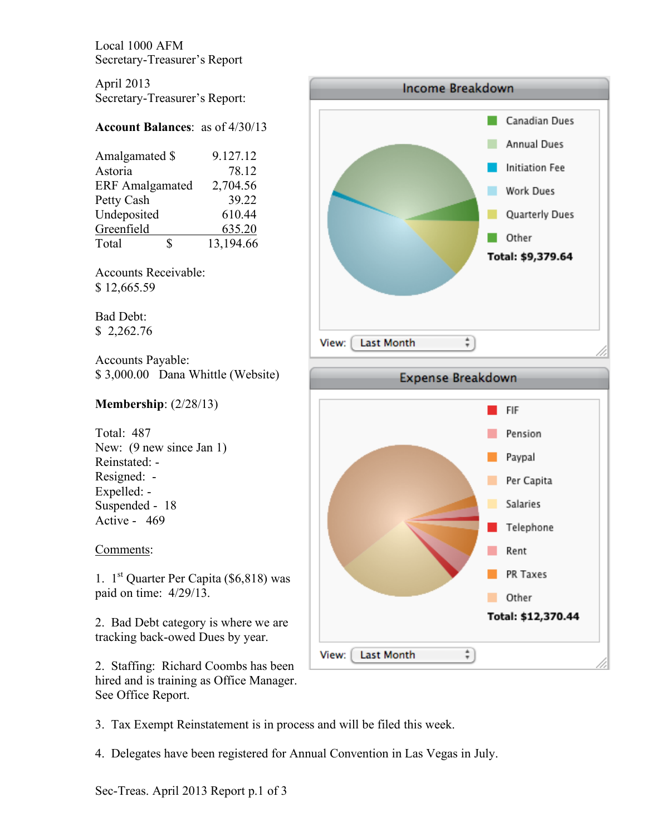Local 1000 AFM Secretary-Treasurer's Report

April 2013 Secretary-Treasurer's Report:

## **Account Balances**: as of 4/30/13

| 9.127.12  |
|-----------|
| 78.12     |
| 2,704.56  |
| 39.22     |
| 610.44    |
| 635.20    |
| 13,194.66 |
|           |

Accounts Receivable: \$ 12,665.59

Bad Debt: \$ 2,262.76

Accounts Payable: \$ 3,000.00 Dana Whittle (Website)

## **Membership**: (2/28/13)

Total: 487 New:  $(9$  new since Jan 1) Reinstated: - Resigned: - Expelled: - Suspended - 18 Active - 469

## Comments:

1.  $1^{st}$  Quarter Per Capita (\$6,818) was paid on time: 4/29/13.

2. Bad Debt category is where we are tracking back-owed Dues by year.

2. Staffing: Richard Coombs has been hired and is training as Office Manager. See Office Report.



Rent

Other

 $\ddot{\ast}$ 

PR Taxes

Total: \$12,370.44

3. Tax Exempt Reinstatement is in process and will be filed this week.

4. Delegates have been registered for Annual Convention in Las Vegas in July.

View:

Last Month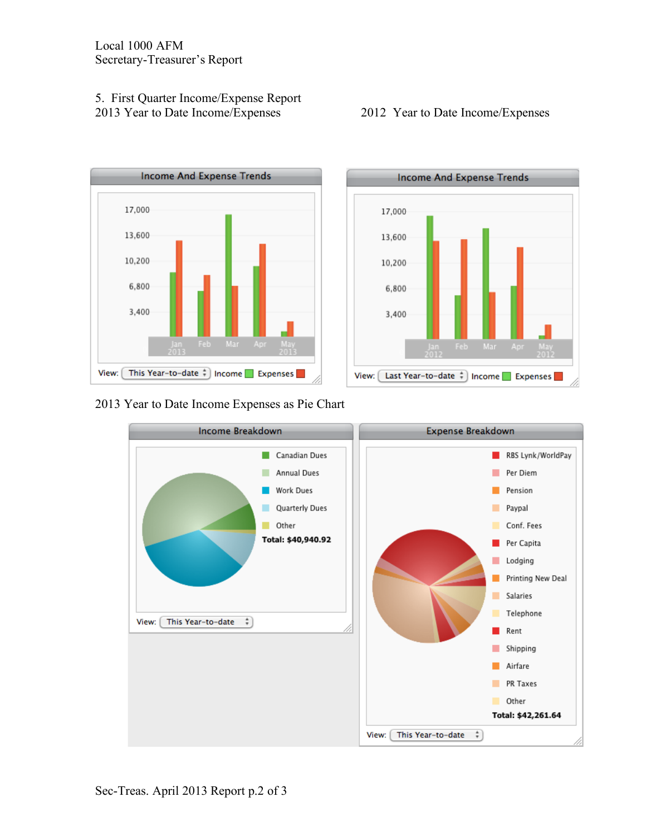## 5. First Quarter Income/Expense Report 2013 Year to Date Income/Expenses 2012 Year to Date Income/Expenses



2013 Year to Date Income Expenses as Pie Chart